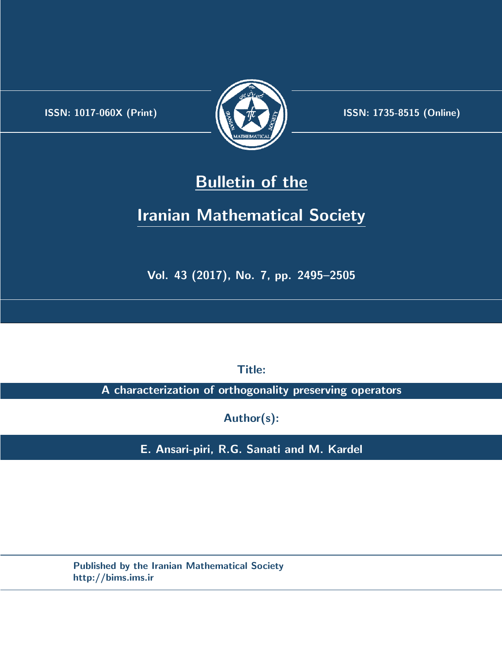.



**ISSN:** 1017-060X (Print)  $\left(\frac{1}{2}\right)$   $\frac{1}{2}$   $\frac{1}{2}$   $\frac{1}{2}$  **ISSN:** 1735-8515 (Online)

## **Bulletin of the**

# **Iranian Mathematical Society**

**Vol. 43 (2017), No. 7, pp. 2495–2505**

**Title:**

**A characterization of orthogonality preserving operators**

**Author(s):**

**E. Ansari-piri, R.G. Sanati and M. Kardel**

**Published by the Iranian Mathematical Society http://bims.ims.ir**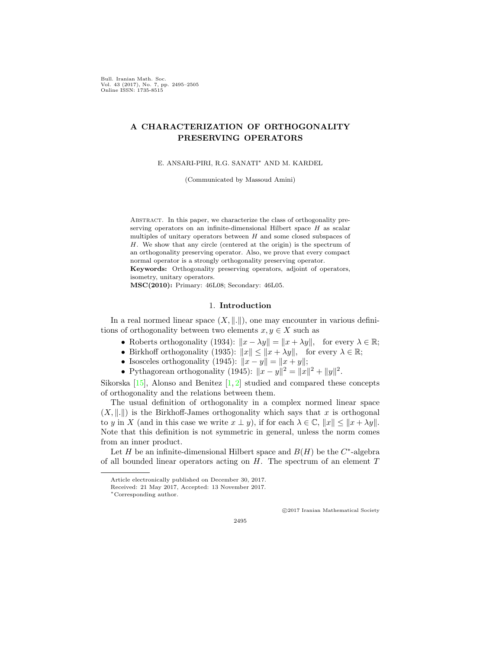Bull. Iranian Math. Soc. Vol. 43 (2017), No. 7, pp. 2495–2505 Online ISSN: 1735-8515

### **A CHARACTERIZATION OF ORTHOGONALITY PRESERVING OPERATORS**

E. ANSARI-PIRI, R.G. SANATI*∗* AND M. KARDEL

(Communicated by Massoud Amini)

ABSTRACT. In this paper, we characterize the class of orthogonality preserving operators on an infinite-dimensional Hilbert space *H* as scalar multiples of unitary operators between *H* and some closed subspaces of *H*. We show that any circle (centered at the origin) is the spectrum of an orthogonality preserving operator. Also, we prove that every compact normal operator is a strongly orthogonality preserving operator. **Keywords:** Orthogonality preserving operators, adjoint of operators, isometry, unitary operators.

**MSC(2010):** Primary: 46L08; Secondary: 46L05.

#### 1. **Introduction**

In a real normed linear space  $(X, \|\cdot\|)$ , one may encounter in various definitions of orthogonality between two elements  $x, y \in X$  such as

- *•* Roberts orthogonality (1934):  $||x \lambda y|| = ||x + \lambda y||$ , for every  $\lambda \in \mathbb{R}$ ;
- Birkhoff orthogonality (1935):  $||x|| \le ||x + \lambda y||$ , for every  $\lambda \in \mathbb{R}$ ;
- Isosceles orthogonality (1945):  $||x y|| = ||x + y||$ ;
- Pythagorean orthogonality (1945):  $||x y||^2 = ||x||^2 + ||y||^2$ .

Sikorska $[15]$ , Alonso and Benitez  $[1, 2]$  $[1, 2]$  $[1, 2]$  $[1, 2]$  studied and compared these concepts of orthogonality and the relations between them.

The usual definition of orthogonality in a complex normed linear space (*X, ∥.∥*) is the Birkhoff-James orthogonality which says that *x* is orthogonal to *y* in *X* (and in this case we write  $x \perp y$ ), if for each  $\lambda \in \mathbb{C}$ ,  $||x|| \le ||x + \lambda y||$ . Note that this definition is not symmetric in general, unless the norm comes from an inner product.

Let *H* be an infinite-dimensional Hilbert space and  $B(H)$  be the  $C^*$ -algebra of all bounded linear operators acting on *H*. The spectrum of an element *T*

*⃝*c 2017 Iranian Mathematical Society

2495

Article electronically published on December 30, 2017.

Received: 21 May 2017, Accepted: 13 November 2017.

*<sup>∗</sup>*Corresponding author.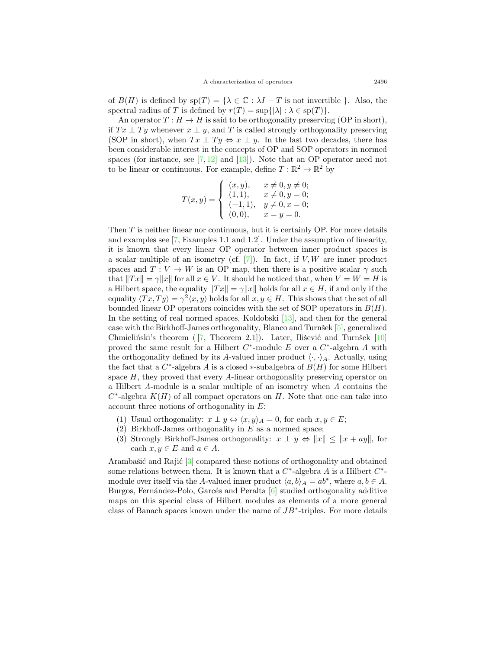of  $B(H)$  is defined by  $sp(T) = {\lambda \in \mathbb{C} : \lambda I - T}$  is not invertible *}*. Also, the spectral radius of *T* is defined by  $r(T) = \sup\{|\lambda| : \lambda \in sp(T)\}.$ 

An operator  $T : H \to H$  is said to be orthogonality preserving (OP in short), if  $Tx \perp Ty$  whenever  $x \perp y$ , and *T* is called strongly orthogonality preserving (SOP in short), when  $Tx \perp Ty \Leftrightarrow x \perp y$ . In the last two decades, there has been considerable interest in the concepts of OP and SOP operators in normed spaces (for instance, see  $[7, 12]$  $[7, 12]$  $[7, 12]$  and  $[13]$ ). Note that an OP operator need not to be linear or continuous. For example, define  $T : \mathbb{R}^2 \to \mathbb{R}^2$  by

$$
T(x,y) = \begin{cases} (x,y), & x \neq 0, y \neq 0; \\ (1,1), & x \neq 0, y = 0; \\ (-1,1), & y \neq 0, x = 0; \\ (0,0), & x = y = 0. \end{cases}
$$

Then *T* is neither linear nor continuous, but it is certainly OP. For more details and examples see[[7,](#page-10-3) Examples 1.1 and 1.2]. Under the assumption of linearity, it is known that every linear OP operator between inner product spaces is a scalar multiple of an isometry (cf.[[7](#page-10-3)]). In fact, if *V, W* are inner product spaces and  $T: V \to W$  is an OP map, then there is a positive scalar  $\gamma$  such that  $||Tx|| = \gamma ||x||$  for all  $x \in V$ . It should be noticed that, when  $V = W = H$  is a Hilbert space, the equality  $||Tx|| = \gamma ||x||$  holds for all  $x \in H$ , if and only if the equality  $\langle Tx, Ty \rangle = \gamma^2 \langle x, y \rangle$  holds for all  $x, y \in H$ . This shows that the set of all bounded linear OP operators coincides with the set of SOP operators in  $B(H)$ . In the setting of real normed spaces, Koldobski [\[13](#page-10-5)], and then for the general case with the Birkhoff-James orthogonality, Blanco and Turnšek  $[5]$ , generalized Chmieliński'stheorem ( [[7](#page-10-3), Theorem 2.1]). Later, Ilišević and Turnšek [[10](#page-10-7)] proved the same result for a Hilbert  $C^*$ -module  $E$  over a  $C^*$ -algebra  $A$  with the orthogonality defined by its *A*-valued inner product  $\langle \cdot, \cdot \rangle_A$ . Actually, using the fact that a *C ∗* -algebra *A* is a closed *∗*-subalgebra of *B*(*H*) for some Hilbert space *H*, they proved that every *A*-linear orthogonality preserving operator on a Hilbert *A*-module is a scalar multiple of an isometry when *A* contains the  $C^*$ -algebra  $K(H)$  of all compact operators on *H*. Note that one can take into account three notions of orthogonality in *E*:

- (1) Usual orthogonality:  $x \perp y \Leftrightarrow \langle x, y \rangle_A = 0$ , for each  $x, y \in E$ ;
- (2) Birkhoff-James orthogonality in *E* as a normed space;
- (3) Strongly Birkhoff-James orthogonality:  $x \perp y \Leftrightarrow ||x|| \le ||x + ay||$ , for each  $x, y \in E$  and  $a \in A$ .

Arambašićand Rajić  $[3]$  $[3]$  compared these notions of orthogonality and obtained some relations between them. It is known that a  $C^*$ -algebra  $A$  is a Hilbert  $C^*$ module over itself via the *A*-valued inner product  $\langle a, b \rangle_A = ab^*$ , where  $a, b \in A$ . Burgos, Fernández-Polo, Garcés and Peralta [\[6](#page-10-9)] studied orthogonality additive maps on this special class of Hilbert modules as elements of a more general class of Banach spaces known under the name of *JB<sup>∗</sup>* -triples. For more details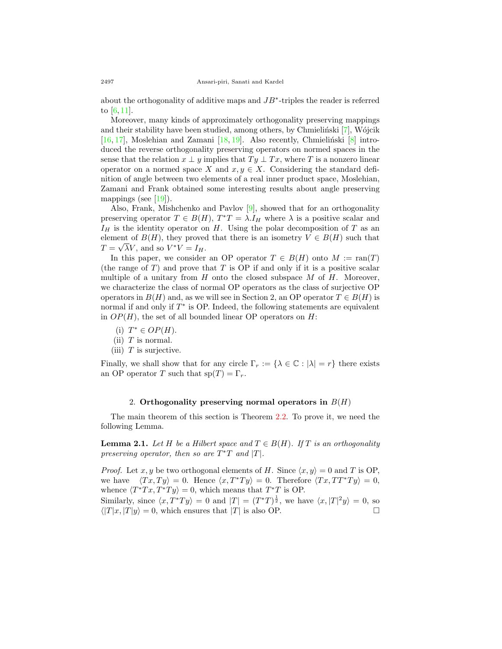about the orthogonality of additive maps and *JB<sup>∗</sup>* -triples the reader is referred to $[6, 11]$  $[6, 11]$  $[6, 11]$  $[6, 11]$ .

Moreover, many kinds of approximately orthogonality preserving mappings and their stability have been studied, among others, by Chmieliński  $[7]$ , Wójcik [[16,](#page-10-11) [17](#page-10-12)], Moslehian and Zamani [\[18](#page-10-13), [19\]](#page-10-14). Also recently, Chmieliński [\[8](#page-10-15)] introduced the reverse orthogonality preserving operators on normed spaces in the sense that the relation  $x \perp y$  implies that  $Ty \perp Tx$ , where *T* is a nonzero linear operator on a normed space *X* and  $x, y \in X$ . Considering the standard definition of angle between two elements of a real inner product space, Moslehian, Zamani and Frank obtained some interesting results about angle preserving mappings(see  $[19]$  $[19]$ ).

Also, Frank, Mishchenko and Pavlov [\[9](#page-10-16)], showed that for an orthogonality preserving operator  $T \in B(H)$ ,  $T^*T = \lambda I_H$  where  $\lambda$  is a positive scalar and  $I_H$  is the identity operator on *H*. Using the polar decomposition of *T* as an element of *B*(*H*), they proved that there is an isometry  $V \in B(H)$  such that  $T = \sqrt{\lambda V}$ , and so  $V^*V = I_H$ .

In this paper, we consider an OP operator  $T \in B(H)$  onto  $M := \text{ran}(T)$ (the range of *T*) and prove that *T* is OP if and only if it is a positive scalar multiple of a unitary from *H* onto the closed subspace *M* of *H*. Moreover, we characterize the class of normal OP operators as the class of surjective OP operators in  $B(H)$  and, as we will see in Section 2, an OP operator  $T \in B(H)$  is normal if and only if *T ∗* is OP. Indeed, the following statements are equivalent in  $OP(H)$ , the set of all bounded linear OP operators on  $H$ :

- (i) *T <sup>∗</sup> ∈ OP*(*H*).
- (ii) *T* is normal.
- (iii) *T* is surjective.

Finally, we shall show that for any circle  $\Gamma_r := {\lambda \in \mathbb{C} : |\lambda| = r}$  there exists an OP operator *T* such that  $sp(T) = \Gamma_r$ .

#### 2. **Orthogonality preserving normal operators in**  $B(H)$

The main theorem of this section is Theorem [2.2.](#page-4-0) To prove it, we need the following Lemma.

<span id="page-3-0"></span>**Lemma 2.1.** Let *H* be a Hilbert space and  $T \in B(H)$ . If *T* is an orthogonality *preserving operator, then so are*  $T^*T$  *and*  $|T|$ *.* 

*Proof.* Let *x, y* be two orthogonal elements of *H*. Since  $\langle x, y \rangle = 0$  and *T* is OP, we have  $\langle Tx, Ty \rangle = 0$ . Hence  $\langle x, T^*Ty \rangle = 0$ . Therefore  $\langle Tx, TT^*Ty \rangle = 0$ , whence  $\langle T^*Tx, T^*Ty \rangle = 0$ , which means that  $T^*T$  is OP.

Similarly, since  $\langle x, T^*Ty \rangle = 0$  and  $|T| = (T^*T)^{\frac{1}{2}}$ , we have  $\langle x, |T|^2y \rangle = 0$ , so  $\langle |T|x, |T|y \rangle = 0$ , which ensures that  $|T|$  is also OP.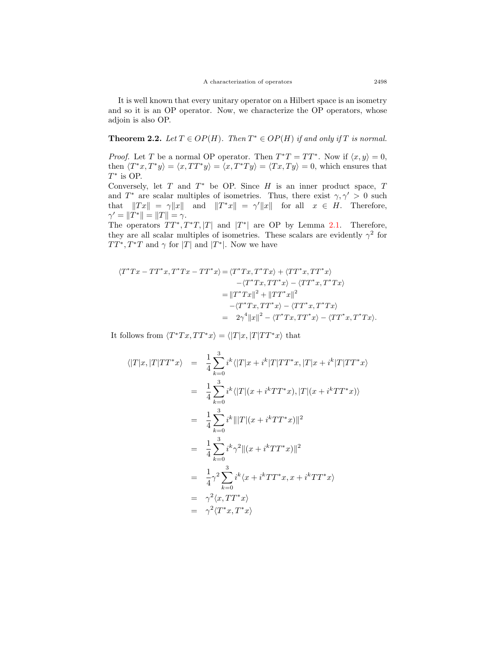It is well known that every unitary operator on a Hilbert space is an isometry and so it is an OP operator. Now, we characterize the OP operators, whose adjoin is also OP.

<span id="page-4-0"></span>**Theorem 2.2.** Let  $T \in OP(H)$ . Then  $T^* \in OP(H)$  if and only if  $T$  is normal.

*Proof.* Let *T* be a normal OP operator. Then  $T^*T = TT^*$ . Now if  $\langle x, y \rangle = 0$ , then  $\langle T^*x, T^*y \rangle = \langle x, TT^*y \rangle = \langle x, T^*Ty \rangle = \langle Tx, Ty \rangle = 0$ , which ensures that *T ∗* is OP.

Conversely, let *T* and *T <sup>∗</sup>* be OP. Since *H* is an inner product space, *T* and  $T^*$  are scalar multiples of isometries. Thus, there exist  $\gamma, \gamma' > 0$  such that  $||Tx|| = \gamma ||x||$  and  $||T^*x|| = \gamma' ||x||$  for all  $x \in H$ . Therefore,  $\gamma' = \|T^*\| = \|T\| = \gamma$ .

The operators  $TT^*, T^*T, |T|$  and  $|T^*|$  are OP by Lemma [2.1](#page-3-0). Therefore, they are all scalar multiples of isometries. These scalars are evidently  $\gamma^2$  for  $TT^*, T^*T$  and  $\gamma$  for  $|T|$  and  $|T^*|$ . Now we have

$$
\langle T^*Tx - TT^*x, T^*Tx - TT^*x \rangle = \langle T^*Tx, T^*Tx \rangle + \langle TT^*x, TT^*x \rangle
$$
  
\n
$$
- \langle T^*Tx, TT^*x \rangle - \langle TT^*x, T^*Tx \rangle
$$
  
\n
$$
= ||T^*Tx||^2 + ||TT^*x||^2
$$
  
\n
$$
- \langle T^*Tx, TT^*x \rangle - \langle TT^*x, T^*Tx \rangle
$$
  
\n
$$
= 2\gamma^4 ||x||^2 - \langle T^*Tx, TT^*x \rangle - \langle TT^*x, T^*Tx \rangle.
$$

It follows from  $\langle T^*Tx, TT^*x \rangle = \langle |T|x, |T|TT^*x \rangle$  that

$$
\langle |T|x, |T|TT^*x \rangle = \frac{1}{4} \sum_{k=0}^{3} i^k \langle |T|x+i^k|T|TT^*x, |T|x+i^k|T|TT^*x \rangle
$$
  
\n
$$
= \frac{1}{4} \sum_{k=0}^{3} i^k \langle |T|(x+i^kTT^*x), |T|(x+i^kTT^*x) \rangle
$$
  
\n
$$
= \frac{1}{4} \sum_{k=0}^{3} i^k |||T|(x+i^kTT^*x)||^2
$$
  
\n
$$
= \frac{1}{4} \sum_{k=0}^{3} i^k \gamma^2 ||(x+i^kTT^*x)||^2
$$
  
\n
$$
= \frac{1}{4} \gamma^2 \sum_{k=0}^{3} i^k \langle x+i^kTT^*x, x+i^kTT^*x \rangle
$$
  
\n
$$
= \gamma^2 \langle x, TT^*x \rangle
$$
  
\n
$$
= \gamma^2 \langle T^*x, T^*x \rangle
$$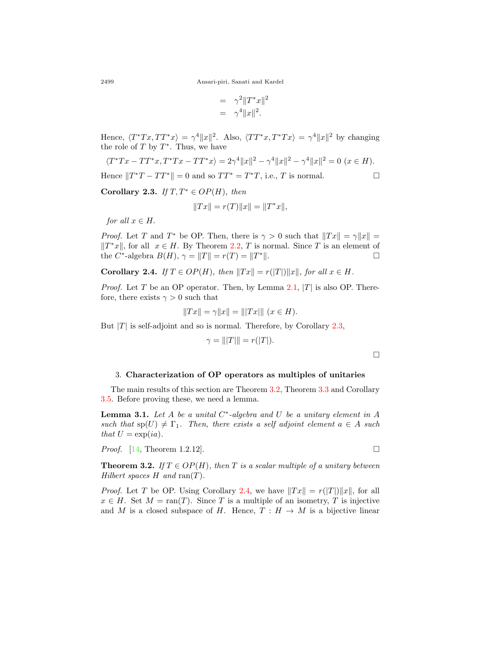2499 Ansari-piri, Sanati and Kardel

$$
= \gamma^2 \|T^*x\|^2
$$

$$
= \gamma^4 \|x\|^2.
$$

Hence,  $\langle T^*Tx, TT^*x \rangle = \gamma^4 ||x||^2$ . Also,  $\langle TT^*x, T^*Tx \rangle = \gamma^4 ||x||^2$  by changing the role of *T* by *T ∗* . Thus, we have

$$
\langle T^*Tx - TT^*x, T^*Tx - TT^*x \rangle = 2\gamma^4 ||x||^2 - \gamma^4 ||x||^2 - \gamma^4 ||x||^2 = 0 \ (x \in H).
$$
  
Hence  $||T^*T - TT^*|| = 0$  and so  $TT^* = T^*T$ , i.e., T is normal.

<span id="page-5-0"></span>**Corollary 2.3.** *If*  $T, T^* \in OP(H)$ *, then* 

$$
||Tx|| = r(T)||x|| = ||T^*x||,
$$

*for all*  $x \in H$ .

*Proof.* Let *T* and *T*<sup>\*</sup> be OP. Then, there is  $\gamma > 0$  such that  $||Tx|| = \gamma ||x|| =$  $||T^*x||$ , for all *x* ∈ *H*. By Theorem [2.2,](#page-4-0) *T* is normal. Since *T* is an element of the *C*<sup>\*</sup>-algebra  $B(H)$ ,  $\gamma = ||T|| = r(T) = ||T||$ *<sup>∗</sup>∥*. □

<span id="page-5-2"></span>**Corollary 2.4.** If  $T \in OP(H)$ , then  $||Tx|| = r(|T|) ||x||$ , for all  $x \in H$ .

*Proof.* Let *T* be an OP operator. Then, by Lemma [2.1,](#page-3-0) *|T|* is also OP. Therefore, there exists  $\gamma > 0$  such that

$$
||Tx|| = \gamma ||x|| = |||Tx|| \ (x \in H).
$$

But  $|T|$  is self-adjoint and so is normal. Therefore, by Corollary [2.3,](#page-5-0)

$$
\gamma = |||T|| = r(|T|).
$$

□

#### 3. **Characterization of OP operators as multiples of unitaries**

The main results of this section are Theorem [3.2,](#page-5-1) Theorem [3.3](#page-6-0) and Corollary [3.5.](#page-7-0) Before proving these, we need a lemma.

<span id="page-5-3"></span>**Lemma 3.1.** Let  $A$  be a unital  $C^*$ -algebra and  $U$  be a unitary element in  $A$ *such that*  $sp(U) \neq \Gamma_1$ *. Then, there exists a self adjoint element*  $a \in A$  *such that*  $U = \exp(ia)$ *.* 

*Proof.* [\[14](#page-10-17), Theorem 1.2.12].

<span id="page-5-1"></span>**Theorem 3.2.** *If*  $T \in OP(H)$ *, then*  $T$  *is a scalar multiple of a unitary between Hilbert spaces*  $H$  *and* ran( $T$ ).

*Proof.* Let *T* be OP. Using Corollary [2.4,](#page-5-2) we have  $||Tx|| = r(|T|) ||x||$ , for all  $x \in H$ . Set  $M = \text{ran}(T)$ . Since *T* is a multiple of an isometry, *T* is injective and *M* is a closed subspace of *H*. Hence,  $T : H \to M$  is a bijective linear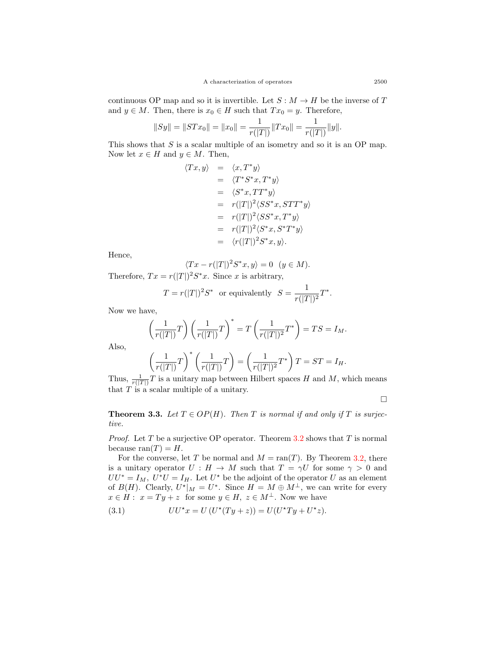continuous OP map and so it is invertible. Let  $S : M \to H$  be the inverse of *T* and  $y \in M$ . Then, there is  $x_0 \in H$  such that  $Tx_0 = y$ . Therefore,

$$
||Sy|| = ||STx_0|| = ||x_0|| = \frac{1}{r(|T|)} ||Tx_0|| = \frac{1}{r(|T|)} ||y||.
$$

This shows that *S* is a scalar multiple of an isometry and so it is an OP map. Now let  $x \in H$  and  $y \in M$ . Then,

<span id="page-6-1"></span>
$$
\langle Tx, y \rangle = \langle x, T^*y \rangle
$$
  
\n
$$
= \langle T^*S^*x, T^*y \rangle
$$
  
\n
$$
= \langle S^*x, TT^*y \rangle
$$
  
\n
$$
= r(|T|)^2 \langle SS^*x, STT^*y \rangle
$$
  
\n
$$
= r(|T|)^2 \langle SS^*x, T^*y \rangle
$$
  
\n
$$
= r(|T|)^2 \langle S^*x, S^*T^*y \rangle
$$
  
\n
$$
= \langle r(|T|)^2 S^*x, y \rangle.
$$

Hence,

$$
\langle Tx - r(|T|)^2 S^*x, y \rangle = 0 \quad (y \in M).
$$

Therefore,  $Tx = r(|T|)^2 S^* x$ . Since *x* is arbitrary,

$$
T = r(|T|)^2 S^* \quad \text{or equivalently} \quad S = \frac{1}{r(|T|)^2} T^*.
$$

Now we have,

$$
\left(\frac{1}{r(|T|)}T\right)\left(\frac{1}{r(|T|)}T\right)^* = T\left(\frac{1}{r(|T|)^2}T^*\right) = TS = I_M.
$$

Also,

$$
\left(\frac{1}{r(|T|)}T\right)^*\left(\frac{1}{r(|T|)}T\right) = \left(\frac{1}{r(|T|)^2}T^*\right)T = ST = I_H.
$$

Thus,  $\frac{1}{r(|T|)}T$  is a unitary map between Hilbert spaces *H* and *M*, which means that *T* is a scalar multiple of a unitary.

□

<span id="page-6-0"></span>**Theorem 3.3.** *Let*  $T \in OP(H)$ *. Then*  $T$  *is normal if and only if*  $T$  *is surjective.*

*Proof.* Let *T* be a surjective OP operator. Theorem [3.2](#page-5-1) shows that *T* is normal because  $ran(T) = H$ .

For the converse, let *T* be normal and  $M = \text{ran}(T)$ . By Theorem [3.2](#page-5-1), there is a unitary operator  $U : H \to M$  such that  $T = \gamma U$  for some  $\gamma > 0$  and  $UU^* = I_M$ ,  $U^*U = I_H$ . Let  $U^*$  be the adjoint of the operator *U* as an element of  $B(H)$ . Clearly,  $U^*|_M = U^*$ . Since  $H = M \oplus M^{\perp}$ , we can write for every  $x \in H: x = Ty + z$  for some  $y \in H, z \in M^{\perp}$ . Now we have

(3.1) 
$$
UU^*x = U(U^*(Ty + z)) = U(U^*Ty + U^*z).
$$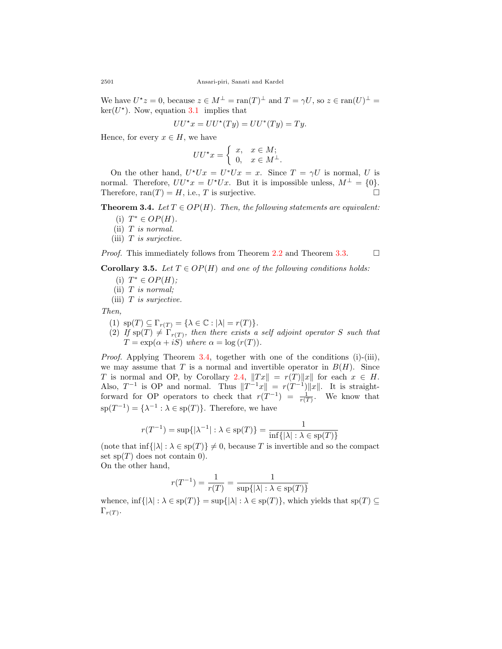We have  $U^*z = 0$ , because  $z \in M^{\perp} = \text{ran}(T)^{\perp}$  and  $T = \gamma U$ , so  $z \in \text{ran}(U)^{\perp} =$  $\ker(U^*)$ . Now, equation [3.1](#page-6-1) implies that

$$
UU^*x = UU^*(Ty) = UU^*(Ty) = Ty.
$$

Hence, for every  $x \in H$ , we have

$$
UU^{\star}x = \begin{cases} x, & x \in M; \\ 0, & x \in M^{\perp}. \end{cases}
$$

On the other hand,  $U^*Ux = U^*Ux = x$ . Since  $T = \gamma U$  is normal, *U* is normal. Therefore,  $UU^*x = U^*Ux$ . But it is impossible unless,  $M^{\perp} = \{0\}.$ Therefore,  $ran(T) = H$ , i.e., *T* is surjective.

## <span id="page-7-1"></span>**Theorem 3.4.** *Let*  $T \in OP(H)$ *. Then, the following statements are equivalent:*

- (i)  $T^*$  ∈  $OP(H)$ *.*
- (ii) *T is normal.*
- (iii) *T is surjective.*

*Proof.* This immediately follows from Theorem [2.2](#page-4-0) and Theorem [3.3](#page-6-0).  $\Box$ 

<span id="page-7-0"></span>**Corollary 3.5.** *Let*  $T \in OP(H)$  *and one of the following conditions holds:* 

- (i) *T <sup>∗</sup> ∈ OP*(*H*)*;*
- (ii) *T is normal;*
- (iii) *T is surjective.*

*Then,*

- $(1)$   $\text{sp}(T) \subseteq \Gamma_{r(T)} = {\lambda \in \mathbb{C} : |\lambda| = r(T)}.$
- (2) If  $sp(T) \neq \Gamma_{r(T)}$ , then there exists a self adjoint operator *S* such that  $T = \exp(\alpha + iS)$  *where*  $\alpha = \log(r(T))$ *.*

*Proof.* Applying Theorem [3.4,](#page-7-1) together with one of the conditions (i)-(iii), we may assume that *T* is a normal and invertible operator in  $B(H)$ . Since *T* is normal and OP, by Corollary [2.4,](#page-5-2)  $||Tx|| = r(T)||x||$  for each  $x \in H$ . Also,  $T^{-1}$  is OP and normal. Thus  $||T^{-1}x|| = r(T^{-1})||x||$ . It is straightforward for OP operators to check that  $r(T^{-1}) = \frac{1}{r(T)}$ . We know that  $\text{sp}(T^{-1}) = {\lambda^{-1} : \lambda \in \text{sp}(T)}$ . Therefore, we have

$$
r(T^{-1}) = \sup\{|\lambda^{-1}| : \lambda \in \text{sp}(T)\} = \frac{1}{\inf\{|\lambda| : \lambda \in \text{sp}(T)\}}
$$

(note that  $\inf\{|\lambda| : \lambda \in sp(T)\}\neq 0$ , because *T* is invertible and so the compact set  $sp(T)$  does not contain 0).

On the other hand,

$$
r(T^{-1}) = \frac{1}{r(T)} = \frac{1}{\sup\{|\lambda| : \lambda \in \text{sp}(T)\}}
$$

whence,  $\inf\{|\lambda| : \lambda \in sp(T)\} = \sup\{|\lambda| : \lambda \in sp(T)\}$ , which yields that  $sp(T) \subseteq$  $\Gamma_{r(T)}$ .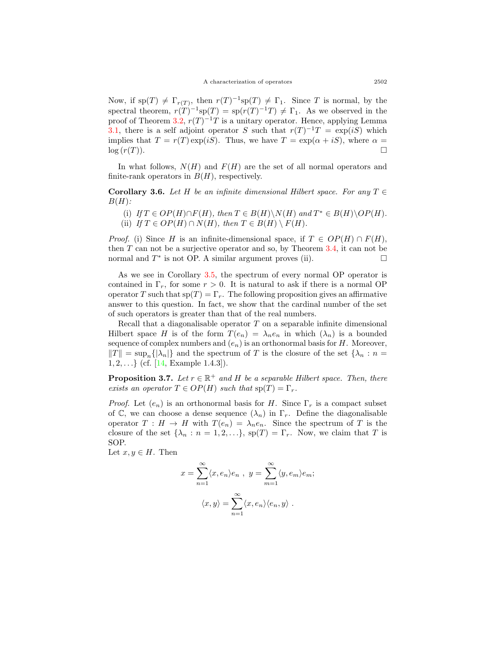Now, if  $sp(T) \neq \Gamma_{r(T)}$ , then  $r(T)^{-1}sp(T) \neq \Gamma_1$ . Since *T* is normal, by the spectral theorem,  $r(T)^{-1}sp(T) = sp(r(T)^{-1}T) \neq \Gamma_1$ . As we observed in the proof of Theorem [3.2,](#page-5-1)  $r(T)^{-1}T$  is a unitary operator. Hence, applying Lemma [3.1,](#page-5-3) there is a self adjoint operator *S* such that  $r(T)^{-1}T = \exp(iS)$  which implies that  $T = r(T) \exp(iS)$ . Thus, we have  $T = \exp(\alpha + iS)$ , where  $\alpha =$  $\log(r(T)).$ 

In what follows,  $N(H)$  and  $F(H)$  are the set of all normal operators and finite-rank operators in  $B(H)$ , respectively.

**Corollary 3.6.** *Let H be an infinite dimensional Hilbert space. For any*  $T \in$ *B*(*H*)*:*

(i) If  $T \in OP(H) \cap F(H)$ , then  $T \in B(H) \backslash N(H)$  and  $T^* \in B(H) \backslash OP(H)$ . (ii) *If*  $T \in OP(H) \cap N(H)$ *, then*  $T \in B(H) \setminus F(H)$ *.* 

*Proof.* (i) Since *H* is an infinite-dimensional space, if  $T \in OP(H) \cap F(H)$ , then *T* can not be a surjective operator and so, by Theorem [3.4](#page-7-1), it can not be normal and  $T^*$  is not OP. A similar argument proves (ii).  $\Box$ 

As we see in Corollary [3.5](#page-7-0), the spectrum of every normal OP operator is contained in  $\Gamma_r$ , for some  $r > 0$ . It is natural to ask if there is a normal OP operator *T* such that  $sp(T) = \Gamma_r$ . The following proposition gives an affirmative answer to this question. In fact, we show that the cardinal number of the set of such operators is greater than that of the real numbers.

Recall that a diagonalisable operator *T* on a separable infinite dimensional Hilbert space *H* is of the form  $T(e_n) = \lambda_n e_n$  in which  $(\lambda_n)$  is a bounded sequence of complex numbers and  $(e_n)$  is an orthonormal basis for *H*. Moreover, *∥*<sup>*T*</sup> $||T||$  = sup<sub>*n*</sub><sup>{</sup> $|\lambda_n|$ } and the spectrum of *T* is the closure of the set  $\{\lambda_n : n =$ 1*,* 2*, . . .}* (cf. [\[14](#page-10-17), Example 1.4.3]).

<span id="page-8-0"></span>**Proposition 3.7.** *Let*  $r \in \mathbb{R}^+$  *and H be a separable Hilbert space. Then, there exists an operator*  $T \in OP(H)$  *such that*  $sp(T) = \Gamma_r$ *.* 

*Proof.* Let  $(e_n)$  is an orthonormal basis for *H*. Since  $\Gamma_r$  is a compact subset of C, we can choose a dense sequence  $(\lambda_n)$  in  $\Gamma_r$ . Define the diagonalisable operator  $T : H \to H$  with  $T(e_n) = \lambda_n e_n$ . Since the spectrum of *T* is the closure of the set  $\{\lambda_n : n = 1, 2, ...\}$ ,  $sp(T) = \Gamma_r$ . Now, we claim that *T* is SOP.

Let  $x, y \in H$ . Then

$$
x = \sum_{n=1}^{\infty} \langle x, e_n \rangle e_n, y = \sum_{m=1}^{\infty} \langle y, e_m \rangle e_m;
$$
  

$$
\langle x, y \rangle = \sum_{n=1}^{\infty} \langle x, e_n \rangle \langle e_n, y \rangle.
$$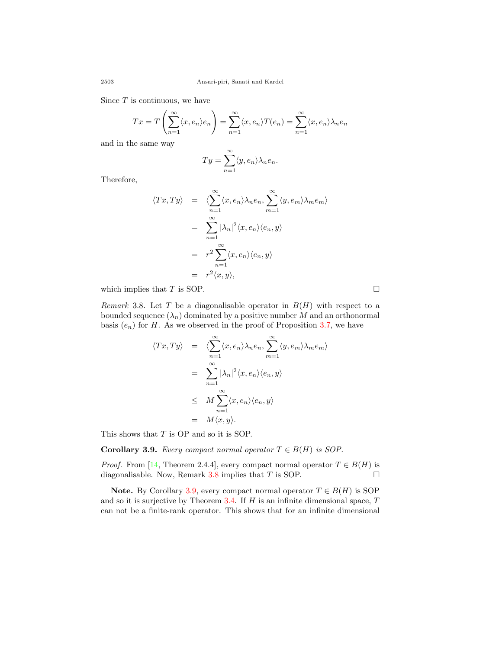Since *T* is continuous, we have

$$
Tx = T\left(\sum_{n=1}^{\infty} \langle x, e_n \rangle e_n\right) = \sum_{n=1}^{\infty} \langle x, e_n \rangle T(e_n) = \sum_{n=1}^{\infty} \langle x, e_n \rangle \lambda_n e_n
$$

and in the same way

$$
Ty = \sum_{n=1}^{\infty} \langle y, e_n \rangle \lambda_n e_n.
$$

Therefore,

$$
\langle Tx, Ty \rangle = \langle \sum_{n=1}^{\infty} \langle x, e_n \rangle \lambda_n e_n, \sum_{m=1}^{\infty} \langle y, e_m \rangle \lambda_m e_m \rangle
$$
  

$$
= \sum_{n=1}^{\infty} |\lambda_n|^2 \langle x, e_n \rangle \langle e_n, y \rangle
$$
  

$$
= r^2 \sum_{n=1}^{\infty} \langle x, e_n \rangle \langle e_n, y \rangle
$$
  

$$
= r^2 \langle x, y \rangle,
$$

which implies that  $T$  is SOP.  $\Box$ 

<span id="page-9-0"></span>*Remark* 3.8. Let *T* be a diagonalisable operator in  $B(H)$  with respect to a bounded sequence  $(\lambda_n)$  dominated by a positive number *M* and an orthonormal basis  $(e_n)$  for *H*. As we observed in the proof of Proposition [3.7](#page-8-0), we have

$$
\langle Tx, Ty \rangle = \langle \sum_{n=1}^{\infty} \langle x, e_n \rangle \lambda_n e_n, \sum_{m=1}^{\infty} \langle y, e_m \rangle \lambda_m e_m \rangle
$$
  

$$
= \sum_{n=1}^{\infty} |\lambda_n|^2 \langle x, e_n \rangle \langle e_n, y \rangle
$$
  

$$
\leq M \sum_{n=1}^{\infty} \langle x, e_n \rangle \langle e_n, y \rangle
$$
  

$$
= M \langle x, y \rangle.
$$

This shows that *T* is OP and so it is SOP.

<span id="page-9-1"></span>**Corollary 3.9.** *Every compact normal operator*  $T \in B(H)$  *is SOP.* 

*Proof.*From [[14,](#page-10-17) Theorem 2.4.4], every compact normal operator  $T \in B(H)$  is diagonalisable. Now, Remark  $3.8$  implies that *T* is SOP.  $\Box$ 

**Note.** By Corollary [3.9](#page-9-1), every compact normal operator  $T \in B(H)$  is SOP and so it is surjective by Theorem [3.4](#page-7-1). If *H* is an infinite dimensional space, *T* can not be a finite-rank operator. This shows that for an infinite dimensional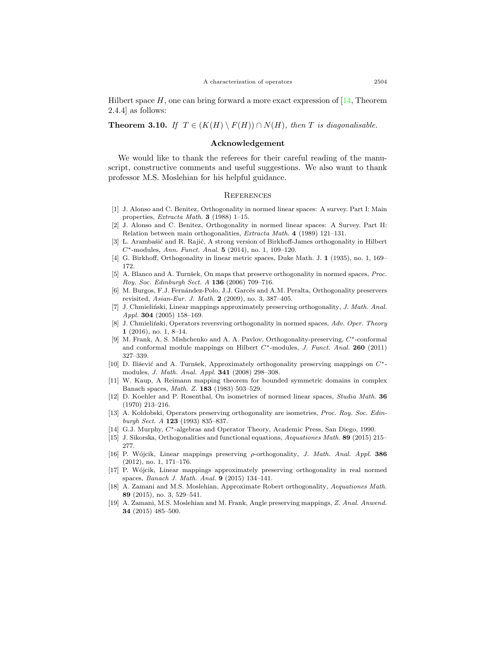Hilbert space  $H$ , one can bring forward a more exact expression of  $[14,$  Theorem 2.4.4] as follows:

**Theorem 3.10.** *If*  $T \in (K(H) \setminus F(H)) \cap N(H)$ , then *T is diagonalisable.* 

#### **Acknowledgement**

We would like to thank the referees for their careful reading of the manuscript, constructive comments and useful suggestions. We also want to thank professor M.S. Moslehian for his helpful guidance.

#### **REFERENCES**

- <span id="page-10-1"></span>[1] J. Alonso and C. Benitez, Orthogonality in normed linear spaces: A survey. Part I: Main properties, *Extracta Math.* **3** (1988) 1–15.
- <span id="page-10-2"></span>[2] J. Alonso and C. Benitez, Orthogonality in normed linear spaces: A Survey. Part II: Relation between main orthogonalities, *Extracta Math.* **4** (1989) 121–131.
- <span id="page-10-8"></span>[3] L. Arambašić and R. Rajić, A strong version of Birkhoff-James orthogonality in Hilbert *C∗*-modules, *Ann. Funct. Anal.* **5** (2014), no. 1, 109–120.
- [4] G. Birkhoff, Orthogonality in linear metric spaces, Duke Math. J. **1** (1935), no. 1, 169– 172.
- <span id="page-10-6"></span>[5] A. Blanco and A. Turnšek, On maps that preserve orthogonality in normed spaces, *Proc. Roy. Soc. Edinburgh Sect. A* **136** (2006) 709–716.
- <span id="page-10-9"></span>[6] M. Burgos, F.J. Fernández-Polo, J.J. Garcés and A.M. Peralta, Orthogonality preservers revisited, *Asian-Eur. J. Math.* **2** (2009), no. 3, 387–405.
- <span id="page-10-3"></span>[7] J. Chmieliński, Linear mappings approximately preserving orthogonality, *J. Math. Anal. Appl.* **304** (2005) 158–169.
- <span id="page-10-15"></span>[8] J. Chmieliński, Operators reversving orthogonality in normed spaces, *Adv. Oper. Theory* **1** (2016), no. 1, 8–14.
- <span id="page-10-16"></span>[9] M. Frank, A. S. Mishchenko and A. A. Pavlov, Orthogonality-preserving, *C∗*-conformal and conformal module mappings on Hilbert *C∗*-modules, *J. Funct. Anal.* **260** (2011) 327–339.
- <span id="page-10-7"></span>[10] D. Ilišević and A. Turnšek, Approximately orthogonality preserving mappings on  $C^*$ modules, *J. Math. Anal. Appl.* **341** (2008) 298–308.
- <span id="page-10-10"></span>[11] W. Kaup, A Reimann mapping theorem for bounded symmetric domains in complex Banach spaces, *Math. Z.* **183** (1983) 503–529.
- <span id="page-10-4"></span>[12] D. Koehler and P. Rosenthal, On isometries of normed linear spaces, *Studia Math.* **36** (1970) 213–216.
- <span id="page-10-5"></span>[13] A. Koldobski, Operators preserving orthogonality are isometries, *Proc. Roy. Soc. Edinburgh Sect. A* **123** (1993) 835–837.
- <span id="page-10-17"></span>[14] G.J. Murphy, *C∗*-algebras and Operator Theory, Academic Press, San Diego, 1990.
- <span id="page-10-0"></span>[15] J. Sikorska, Orthogonalities and functional equations, *Aequationes Math.* **89** (2015) 215– 277.
- <span id="page-10-11"></span>[16] P. W´ojcik, Linear mappings preserving *ρ*-orthogonality, *J. Math. Anal. Appl.* **386** (2012), no. 1, 171–176.
- <span id="page-10-12"></span>[17] P. Wójcik, Linear mappings approximately preserving orthogonality in real normed spaces, *Banach J. Math. Anal.* **9** (2015) 134–141.
- <span id="page-10-13"></span>[18] A. Zamani and M.S. Moslehian, Approximate Robert orthogonality, *Aequationes Math.* **89** (2015), no. 3, 529–541.
- <span id="page-10-14"></span>[19] A. Zamani, M.S. Moslehian and M. Frank, Angle preserving mappings, *Z. Anal. Anwend.* **34** (2015) 485–500.